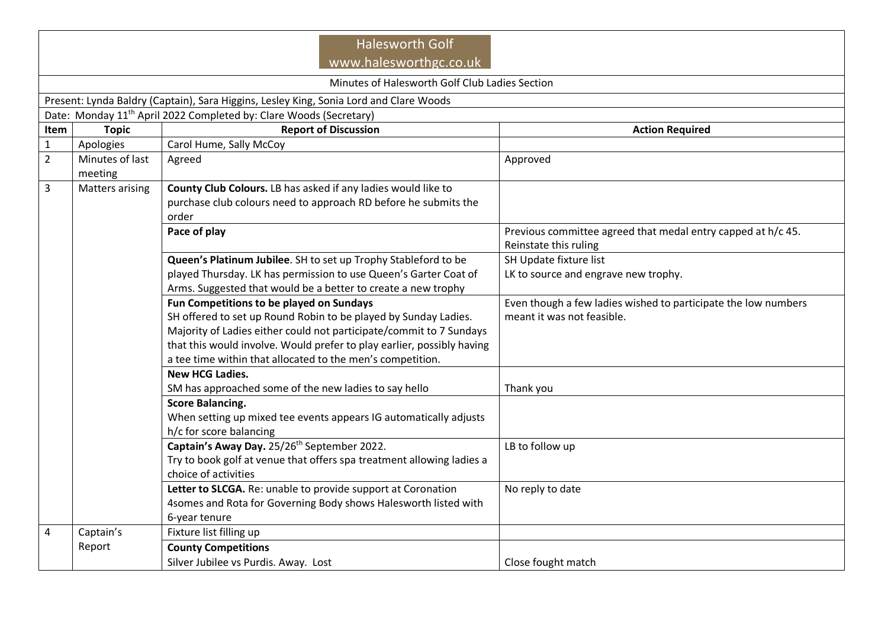| <b>Halesworth Golf</b><br>www.halesworthgc.co.uk                                       |                                                                                |                                                                                                                                                                                                                                                                                                                            |                                                                                              |  |  |  |  |  |  |
|----------------------------------------------------------------------------------------|--------------------------------------------------------------------------------|----------------------------------------------------------------------------------------------------------------------------------------------------------------------------------------------------------------------------------------------------------------------------------------------------------------------------|----------------------------------------------------------------------------------------------|--|--|--|--|--|--|
|                                                                                        | Minutes of Halesworth Golf Club Ladies Section                                 |                                                                                                                                                                                                                                                                                                                            |                                                                                              |  |  |  |  |  |  |
| Present: Lynda Baldry (Captain), Sara Higgins, Lesley King, Sonia Lord and Clare Woods |                                                                                |                                                                                                                                                                                                                                                                                                                            |                                                                                              |  |  |  |  |  |  |
|                                                                                        | Date: Monday 11 <sup>th</sup> April 2022 Completed by: Clare Woods (Secretary) |                                                                                                                                                                                                                                                                                                                            |                                                                                              |  |  |  |  |  |  |
| Item                                                                                   | <b>Topic</b>                                                                   | <b>Report of Discussion</b>                                                                                                                                                                                                                                                                                                | <b>Action Required</b>                                                                       |  |  |  |  |  |  |
| $\mathbf{1}$                                                                           | Apologies                                                                      | Carol Hume, Sally McCoy                                                                                                                                                                                                                                                                                                    |                                                                                              |  |  |  |  |  |  |
| $\overline{2}$                                                                         | Minutes of last<br>meeting                                                     | Agreed                                                                                                                                                                                                                                                                                                                     | Approved                                                                                     |  |  |  |  |  |  |
| 3                                                                                      | Matters arising                                                                | County Club Colours. LB has asked if any ladies would like to<br>purchase club colours need to approach RD before he submits the<br>order                                                                                                                                                                                  |                                                                                              |  |  |  |  |  |  |
|                                                                                        |                                                                                | Pace of play                                                                                                                                                                                                                                                                                                               | Previous committee agreed that medal entry capped at h/c 45.<br>Reinstate this ruling        |  |  |  |  |  |  |
|                                                                                        |                                                                                | Queen's Platinum Jubilee. SH to set up Trophy Stableford to be                                                                                                                                                                                                                                                             | SH Update fixture list                                                                       |  |  |  |  |  |  |
|                                                                                        |                                                                                | played Thursday. LK has permission to use Queen's Garter Coat of<br>Arms. Suggested that would be a better to create a new trophy                                                                                                                                                                                          | LK to source and engrave new trophy.                                                         |  |  |  |  |  |  |
|                                                                                        |                                                                                | Fun Competitions to be played on Sundays<br>SH offered to set up Round Robin to be played by Sunday Ladies.<br>Majority of Ladies either could not participate/commit to 7 Sundays<br>that this would involve. Would prefer to play earlier, possibly having<br>a tee time within that allocated to the men's competition. | Even though a few ladies wished to participate the low numbers<br>meant it was not feasible. |  |  |  |  |  |  |
|                                                                                        |                                                                                | <b>New HCG Ladies.</b>                                                                                                                                                                                                                                                                                                     |                                                                                              |  |  |  |  |  |  |
|                                                                                        |                                                                                | SM has approached some of the new ladies to say hello                                                                                                                                                                                                                                                                      | Thank you                                                                                    |  |  |  |  |  |  |
|                                                                                        |                                                                                | <b>Score Balancing.</b><br>When setting up mixed tee events appears IG automatically adjusts<br>h/c for score balancing                                                                                                                                                                                                    |                                                                                              |  |  |  |  |  |  |
|                                                                                        |                                                                                | Captain's Away Day. 25/26 <sup>th</sup> September 2022.<br>Try to book golf at venue that offers spa treatment allowing ladies a<br>choice of activities                                                                                                                                                                   | LB to follow up                                                                              |  |  |  |  |  |  |
|                                                                                        |                                                                                | Letter to SLCGA. Re: unable to provide support at Coronation<br>4somes and Rota for Governing Body shows Halesworth listed with<br>6-year tenure                                                                                                                                                                           | No reply to date                                                                             |  |  |  |  |  |  |
| 4                                                                                      | Captain's                                                                      | Fixture list filling up                                                                                                                                                                                                                                                                                                    |                                                                                              |  |  |  |  |  |  |
|                                                                                        | Report                                                                         | <b>County Competitions</b><br>Silver Jubilee vs Purdis. Away. Lost                                                                                                                                                                                                                                                         | Close fought match                                                                           |  |  |  |  |  |  |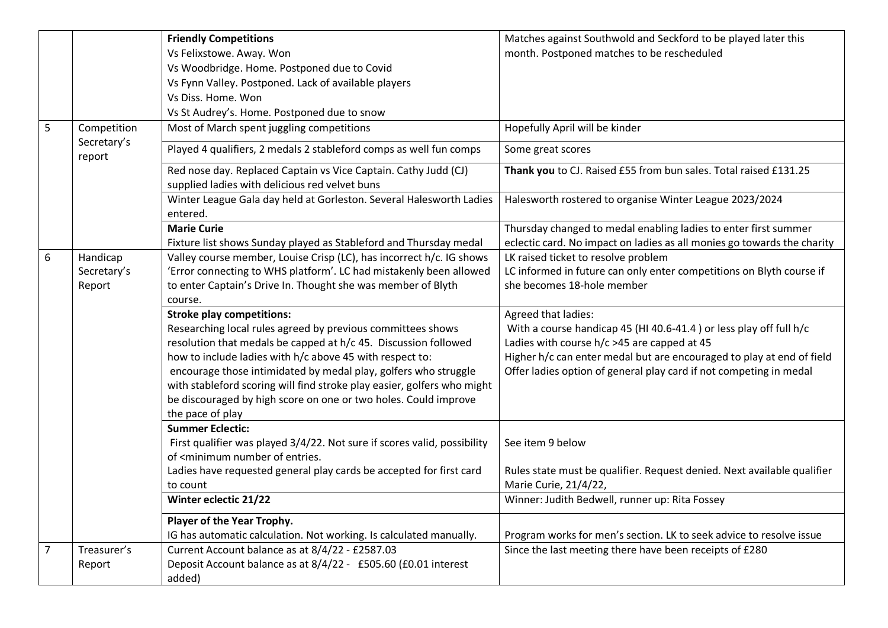|                |                                      | <b>Friendly Competitions</b>                                                                                                               | Matches against Southwold and Seckford to be played later this                                                                             |
|----------------|--------------------------------------|--------------------------------------------------------------------------------------------------------------------------------------------|--------------------------------------------------------------------------------------------------------------------------------------------|
|                |                                      | Vs Felixstowe. Away. Won                                                                                                                   | month. Postponed matches to be rescheduled                                                                                                 |
|                |                                      | Vs Woodbridge. Home. Postponed due to Covid                                                                                                |                                                                                                                                            |
|                |                                      | Vs Fynn Valley. Postponed. Lack of available players                                                                                       |                                                                                                                                            |
|                |                                      | Vs Diss. Home. Won                                                                                                                         |                                                                                                                                            |
|                |                                      | Vs St Audrey's. Home. Postponed due to snow                                                                                                |                                                                                                                                            |
| 5              | Competition<br>Secretary's<br>report | Most of March spent juggling competitions                                                                                                  | Hopefully April will be kinder                                                                                                             |
|                |                                      | Played 4 qualifiers, 2 medals 2 stableford comps as well fun comps                                                                         | Some great scores                                                                                                                          |
|                |                                      | Red nose day. Replaced Captain vs Vice Captain. Cathy Judd (CJ)<br>supplied ladies with delicious red velvet buns                          | Thank you to CJ. Raised £55 from bun sales. Total raised £131.25                                                                           |
|                |                                      | Winter League Gala day held at Gorleston. Several Halesworth Ladies<br>entered.                                                            | Halesworth rostered to organise Winter League 2023/2024                                                                                    |
|                |                                      | <b>Marie Curie</b><br>Fixture list shows Sunday played as Stableford and Thursday medal                                                    | Thursday changed to medal enabling ladies to enter first summer<br>eclectic card. No impact on ladies as all monies go towards the charity |
| 6              | Handicap                             | Valley course member, Louise Crisp (LC), has incorrect h/c. IG shows                                                                       | LK raised ticket to resolve problem                                                                                                        |
|                | Secretary's                          | 'Error connecting to WHS platform'. LC had mistakenly been allowed                                                                         | LC informed in future can only enter competitions on Blyth course if                                                                       |
|                | Report                               | to enter Captain's Drive In. Thought she was member of Blyth                                                                               | she becomes 18-hole member                                                                                                                 |
|                |                                      | course.                                                                                                                                    |                                                                                                                                            |
|                |                                      | <b>Stroke play competitions:</b>                                                                                                           | Agreed that ladies:                                                                                                                        |
|                |                                      | Researching local rules agreed by previous committees shows                                                                                | With a course handicap 45 (HI 40.6-41.4) or less play off full h/c                                                                         |
|                |                                      | resolution that medals be capped at h/c 45. Discussion followed                                                                            | Ladies with course $h/c > 45$ are capped at 45                                                                                             |
|                |                                      | how to include ladies with h/c above 45 with respect to:                                                                                   | Higher h/c can enter medal but are encouraged to play at end of field                                                                      |
|                |                                      | encourage those intimidated by medal play, golfers who struggle                                                                            | Offer ladies option of general play card if not competing in medal                                                                         |
|                |                                      | with stableford scoring will find stroke play easier, golfers who might<br>be discouraged by high score on one or two holes. Could improve |                                                                                                                                            |
|                |                                      | the pace of play                                                                                                                           |                                                                                                                                            |
|                |                                      | <b>Summer Eclectic:</b>                                                                                                                    |                                                                                                                                            |
|                |                                      | First qualifier was played 3/4/22. Not sure if scores valid, possibility                                                                   | See item 9 below                                                                                                                           |
|                |                                      | of <minimum entries.<="" number="" of="" td=""><td></td></minimum>                                                                         |                                                                                                                                            |
|                |                                      | Ladies have requested general play cards be accepted for first card                                                                        | Rules state must be qualifier. Request denied. Next available qualifier                                                                    |
|                |                                      | to count                                                                                                                                   | Marie Curie, 21/4/22,                                                                                                                      |
|                |                                      | Winter eclectic 21/22                                                                                                                      | Winner: Judith Bedwell, runner up: Rita Fossey                                                                                             |
|                |                                      | Player of the Year Trophy.                                                                                                                 |                                                                                                                                            |
|                |                                      | IG has automatic calculation. Not working. Is calculated manually.                                                                         | Program works for men's section. LK to seek advice to resolve issue                                                                        |
| $\overline{7}$ | Treasurer's                          | Current Account balance as at 8/4/22 - £2587.03                                                                                            | Since the last meeting there have been receipts of £280                                                                                    |
|                | Report                               | Deposit Account balance as at 8/4/22 - £505.60 (£0.01 interest                                                                             |                                                                                                                                            |
|                |                                      | added)                                                                                                                                     |                                                                                                                                            |